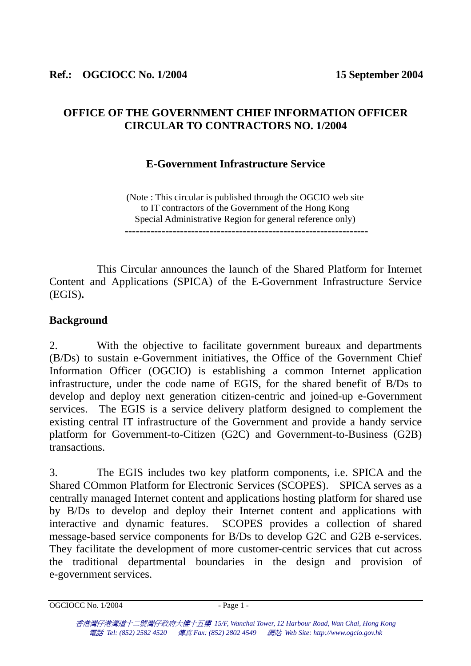# **OFFICE OF THE GOVERNMENT CHIEF INFORMATION OFFICER CIRCULAR TO CONTRACTORS NO. 1/2004**

# **E-Government Infrastructure Service**

(Note : This circular is published through the OGCIO web site to IT contractors of the Government of the Hong Kong Special Administrative Region for general reference only) **------------------------------------------------------------------** 

 This Circular announces the launch of the Shared Platform for Internet Content and Applications (SPICA) of the E-Government Infrastructure Service (EGIS)**.**

### **Background**

2. With the objective to facilitate government bureaux and departments (B/Ds) to sustain e-Government initiatives, the Office of the Government Chief Information Officer (OGCIO) is establishing a common Internet application infrastructure, under the code name of EGIS, for the shared benefit of B/Ds to develop and deploy next generation citizen-centric and joined-up e-Government services. The EGIS is a service delivery platform designed to complement the existing central IT infrastructure of the Government and provide a handy service platform for Government-to-Citizen (G2C) and Government-to-Business (G2B) transactions.

3. The EGIS includes two key platform components, i.e. SPICA and the Shared COmmon Platform for Electronic Services (SCOPES). SPICA serves as a centrally managed Internet content and applications hosting platform for shared use by B/Ds to develop and deploy their Internet content and applications with interactive and dynamic features. SCOPES provides a collection of shared message-based service components for B/Ds to develop G2C and G2B e-services. They facilitate the development of more customer-centric services that cut across the traditional departmental boundaries in the design and provision of e-government services.

OGCIOCC No. 1/2004 - Page 1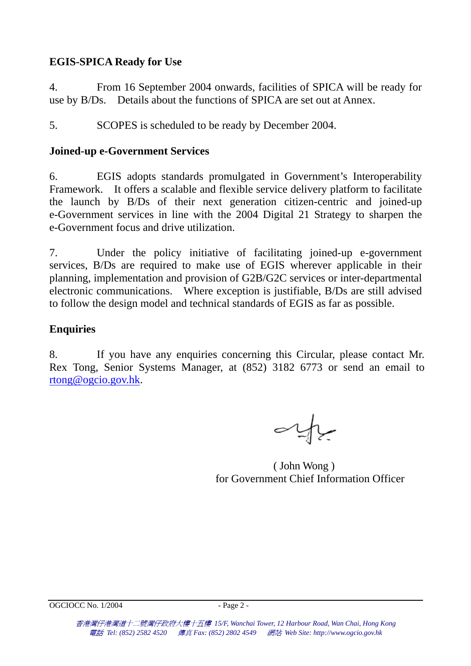# **EGIS-SPICA Ready for Use**

4. From 16 September 2004 onwards, facilities of SPICA will be ready for use by B/Ds. Details about the functions of SPICA are set out at Annex.

5. SCOPES is scheduled to be ready by December 2004.

#### **Joined-up e-Government Services**

6. EGIS adopts standards promulgated in Government's Interoperability Framework. It offers a scalable and flexible service delivery platform to facilitate the launch by B/Ds of their next generation citizen-centric and joined-up e-Government services in line with the 2004 Digital 21 Strategy to sharpen the e-Government focus and drive utilization.

7. Under the policy initiative of facilitating joined-up e-government services, B/Ds are required to make use of EGIS wherever applicable in their planning, implementation and provision of G2B/G2C services or inter-departmental electronic communications. Where exception is justifiable, B/Ds are still advised to follow the design model and technical standards of EGIS as far as possible.

# **Enquiries**

8. If you have any enquiries concerning this Circular, please contact Mr. Rex Tong, Senior Systems Manager, at (852) 3182 6773 or send an email to [rtong@ogcio.gov.hk](mailto:rtong@ogcio.gov.hk).

ببهليات

 ( John Wong ) for Government Chief Information Officer